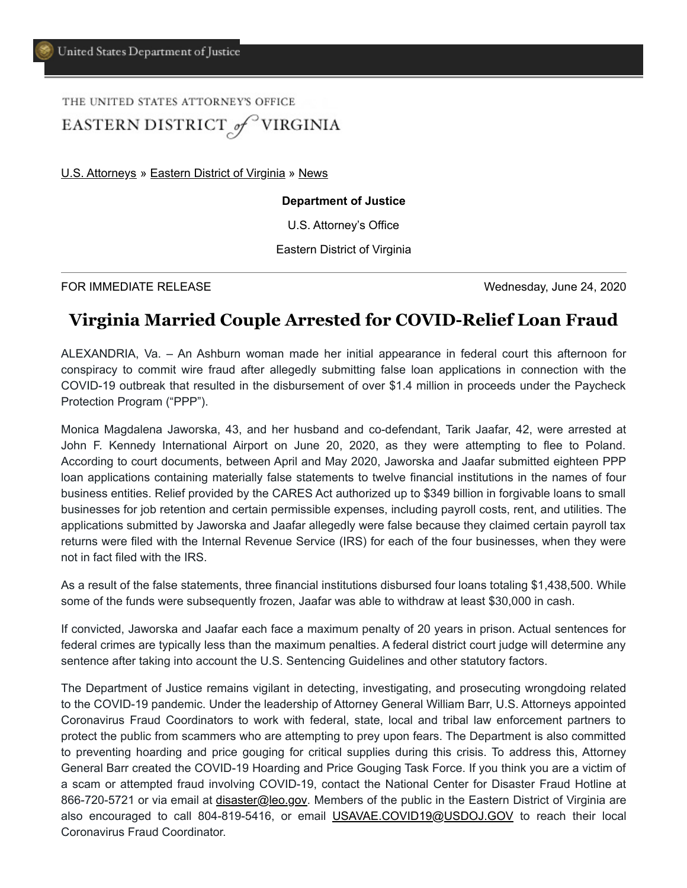## THE UNITED STATES ATTORNEY'S OFFICE EASTERN DISTRICT of VIRGINIA

[U.S. Attorneys](https://www.justice.gov/usao) » [Eastern District of Virginia](https://www.justice.gov/usao-edva) » [News](https://www.justice.gov/usao-edva/pr)

## **Department of Justice**

U.S. Attorney's Office

Eastern District of Virginia

FOR IMMEDIATE RELEASE Wednesday, June 24, 2020

## **Virginia Married Couple Arrested for COVID-Relief Loan Fraud**

ALEXANDRIA, Va. – An Ashburn woman made her initial appearance in federal court this afternoon for conspiracy to commit wire fraud after allegedly submitting false loan applications in connection with the COVID-19 outbreak that resulted in the disbursement of over \$1.4 million in proceeds under the Paycheck Protection Program ("PPP").

Monica Magdalena Jaworska, 43, and her husband and co-defendant, Tarik Jaafar, 42, were arrested at John F. Kennedy International Airport on June 20, 2020, as they were attempting to flee to Poland. According to court documents, between April and May 2020, Jaworska and Jaafar submitted eighteen PPP loan applications containing materially false statements to twelve financial institutions in the names of four business entities. Relief provided by the CARES Act authorized up to \$349 billion in forgivable loans to small businesses for job retention and certain permissible expenses, including payroll costs, rent, and utilities. The applications submitted by Jaworska and Jaafar allegedly were false because they claimed certain payroll tax returns were filed with the Internal Revenue Service (IRS) for each of the four businesses, when they were not in fact filed with the IRS.

As a result of the false statements, three financial institutions disbursed four loans totaling \$1,438,500. While some of the funds were subsequently frozen, Jaafar was able to withdraw at least \$30,000 in cash.

If convicted, Jaworska and Jaafar each face a maximum penalty of 20 years in prison. Actual sentences for federal crimes are typically less than the maximum penalties. A federal district court judge will determine any sentence after taking into account the U.S. Sentencing Guidelines and other statutory factors.

The Department of Justice remains vigilant in detecting, investigating, and prosecuting wrongdoing related to the COVID-19 pandemic. Under the leadership of Attorney General William Barr, U.S. Attorneys appointed Coronavirus Fraud Coordinators to work with federal, state, local and tribal law enforcement partners to protect the public from scammers who are attempting to prey upon fears. The Department is also committed to preventing hoarding and price gouging for critical supplies during this crisis. To address this, Attorney General Barr created the COVID-19 Hoarding and Price Gouging Task Force. If you think you are a victim of a scam or attempted fraud involving COVID-19, contact the National Center for Disaster Fraud Hotline at 866-720-5721 or via email at *disaster@leo.gov*. Members of the public in the Eastern District of Virginia are also encouraged to call 804-819-5416, or email [USAVAE.COVID19@USDOJ.GOV](mailto:USAVAE.COVID19@USDOJ.GOV) to reach their local Coronavirus Fraud Coordinator.